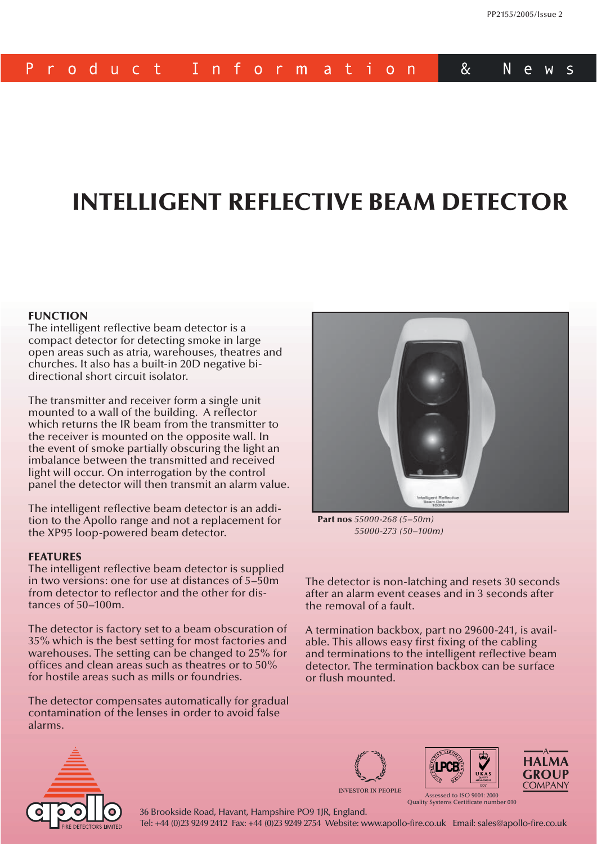#### P  $8<sub>c</sub>$  $I$  n N oduct f. ni i e W  $\mathsf{r}$ o r m a. t.  $O$  n  $\mathsf{S}$

# **INTELLIGENT REFLECTIVE BEAM DETECTOR**

#### **FUNCTION**

The intelligent reflective beam detector is a compact detector for detecting smoke in large open areas such as atria, warehouses, theatres and churches. It also has a built-in 20D negative bidirectional short circuit isolator.

The transmitter and receiver form a single unit mounted to a wall of the building. A reflector which returns the IR beam from the transmitter to the receiver is mounted on the opposite wall. In the event of smoke partially obscuring the light an imbalance between the transmitted and received light will occur. On interrogation by the control panel the detector will then transmit an alarm value.

The intelligent reflective beam detector is an addition to the Apollo range and not a replacement for the XP95 loop-powered beam detector.

#### **FEATURES**

The intelligent reflective beam detector is supplied in two versions: one for use at distances of 5–50m from detector to reflector and the other for distances of 50–100m.

The detector is factory set to a beam obscuration of 35% which is the best setting for most factories and warehouses. The setting can be changed to 25% for offices and clean areas such as theatres or to  $50\%$ for hostile areas such as mills or foundries.

The detector compensates automatically for gradual contamination of the lenses in order to avoid false alarms.



**Part nos** *55000-268 (5–50m) 55000-273 (50–100m)*

The detector is non-latching and resets 30 seconds after an alarm event ceases and in 3 seconds after the removal of a fault.

A termination backbox, part no 29600-241, is available. This allows easy first fixing of the cabling and terminations to the intelligent reflective beam detector. The termination backbox can be surface or flush mounted.









Assessed to ISO 9001: 2000

Quality Systems Certificate number 010

36 Brookside Road, Havant, Hampshire PO9 1JR, England. Tel: +44 (0)23 9249 2412 Fax: +44 (0)23 9249 2754 Website: www.apollo-fire.co.uk Email: sales@apollo-fire.co.uk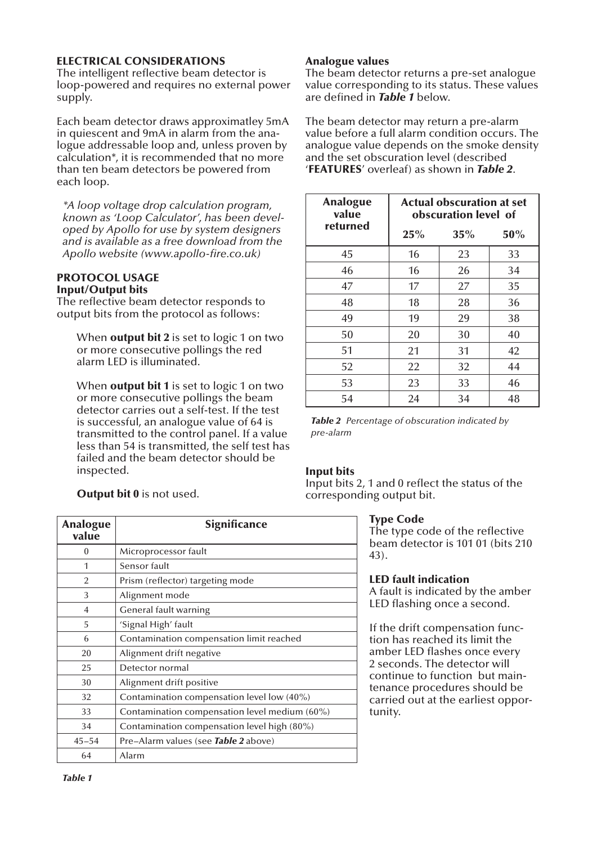## **ELECTRICAL CONSIDERATIONS**

The intelligent reflective beam detector is loop-powered and requires no external power supply.

Each beam detector draws approximatley 5mA in quiescent and 9mA in alarm from the analogue addressable loop and, unless proven by calculation\*, it is recommended that no more than ten beam detectors be powered from each loop.

*\*A loop voltage drop calculation program, known as 'Loop Calculator', has been developed by Apollo for use by system designers and is available as a free download from the Apollo website (www.apollo-fi re.co.uk)*

#### **PROTOCOL USAGE Input/Output bits**

The reflective beam detector responds to output bits from the protocol as follows:

 When **output bit 2** is set to logic 1 on two or more consecutive pollings the red alarm LED is illuminated.

 When **output bit 1** is set to logic 1 on two or more consecutive pollings the beam detector carries out a self-test. If the test is successful, an analogue value of 64 is transmitted to the control panel. If a value less than 54 is transmitted, the self test has failed and the beam detector should be inspected.

**Output bit 0** is not used.

| <b>Analogue</b><br>value | <b>Significance</b>                           |
|--------------------------|-----------------------------------------------|
| 0                        | Microprocessor fault                          |
| 1                        | Sensor fault                                  |
| $\overline{2}$           | Prism (reflector) targeting mode              |
| 3                        | Alignment mode                                |
| $\overline{4}$           | General fault warning                         |
| 5                        | 'Signal High' fault                           |
| 6                        | Contamination compensation limit reached      |
| 20                       | Alignment drift negative                      |
| 25                       | Detector normal                               |
| 30                       | Alignment drift positive                      |
| 32                       | Contamination compensation level low (40%)    |
| 33                       | Contamination compensation level medium (60%) |
| 34                       | Contamination compensation level high (80%)   |
| $45 - 54$                | Pre–Alarm values (see <b>Table 2</b> above)   |
| 64                       | Alarm                                         |

### **Analogue values**

The beam detector returns a pre-set analogue value corresponding to its status. These values are defined in **Table 1** below.

The beam detector may return a pre-alarm value before a full alarm condition occurs. The analogue value depends on the smoke density and the set obscuration level (described '**FEATURES**' overleaf) as shown in *Table 2*.

| <b>Analogue</b><br>value | <b>Actual obscuration at set</b><br>obscuration level of |     |     |  |
|--------------------------|----------------------------------------------------------|-----|-----|--|
| returned                 | 25%                                                      | 35% | 50% |  |
| 45                       | 16                                                       | 23  | 33  |  |
| 46                       | 16                                                       | 26  | 34  |  |
| 47                       | 17                                                       | 27  | 35  |  |
| 48                       | 18                                                       | 28  | 36  |  |
| 49                       | 19                                                       | 29  | 38  |  |
| 50                       | 20                                                       | 30  | 40  |  |
| 51                       | 21                                                       | 31  | 42  |  |
| 52                       | 22                                                       | 32  | 44  |  |
| 53                       | 23                                                       | 33  | 46  |  |
| 54                       | 24                                                       | 34  | 48  |  |

*Table 2 Percentage of obscuration indicated by pre-alarm*

### **Input bits**

Input bits 2, 1 and 0 reflect the status of the corresponding output bit.

### **Type Code**

The type code of the reflective beam detector is 101 01 (bits 210 43).

### **LED fault indication**

A fault is indicated by the amber LED flashing once a second.

If the drift compensation function has reached its limit the amber LED flashes once every 2 seconds. The detector will continue to function but maintenance procedures should be carried out at the earliest opportunity.